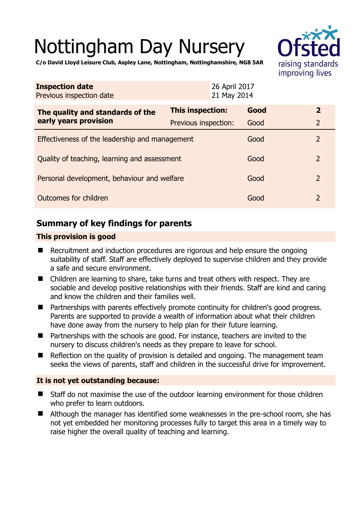# Nottingham Day Nursery



**C/o David Lloyd Leisure Club, Aspley Lane, Nottingham, Nottinghamshire, NG8 5AR** 

| <b>Inspection date</b><br>Previous inspection date        | 26 April 2017<br>21 May 2014 |      |                |
|-----------------------------------------------------------|------------------------------|------|----------------|
| The quality and standards of the<br>early years provision | This inspection:             | Good | $\overline{2}$ |
|                                                           | Previous inspection:         | Good | $\overline{2}$ |
| Effectiveness of the leadership and management            |                              | Good | $\overline{2}$ |
| Quality of teaching, learning and assessment              |                              | Good | $\overline{2}$ |
| Personal development, behaviour and welfare               |                              | Good | $\overline{2}$ |
| Outcomes for children                                     |                              | Good | $\overline{2}$ |

## **Summary of key findings for parents**

#### **This provision is good**

- Recruitment and induction procedures are rigorous and help ensure the ongoing suitability of staff. Staff are effectively deployed to supervise children and they provide a safe and secure environment.
- Children are learning to share, take turns and treat others with respect. They are sociable and develop positive relationships with their friends. Staff are kind and caring and know the children and their families well.
- Partnerships with parents effectively promote continuity for children's good progress. Parents are supported to provide a wealth of information about what their children have done away from the nursery to help plan for their future learning.
- Partnerships with the schools are good. For instance, teachers are invited to the nursery to discuss children's needs as they prepare to leave for school.
- Reflection on the quality of provision is detailed and ongoing. The management team seeks the views of parents, staff and children in the successful drive for improvement.

#### **It is not yet outstanding because:**

- Staff do not maximise the use of the outdoor learning environment for those children who prefer to learn outdoors.
- Although the manager has identified some weaknesses in the pre-school room, she has not yet embedded her monitoring processes fully to target this area in a timely way to raise higher the overall quality of teaching and learning.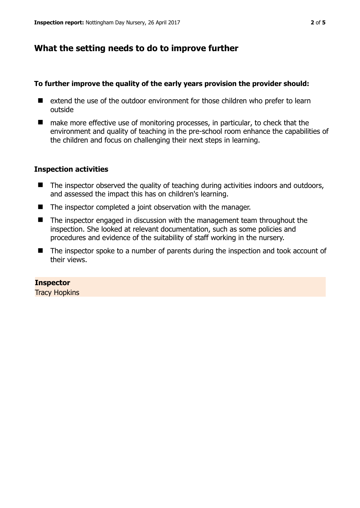## **What the setting needs to do to improve further**

#### **To further improve the quality of the early years provision the provider should:**

- $\blacksquare$  extend the use of the outdoor environment for those children who prefer to learn outside
- make more effective use of monitoring processes, in particular, to check that the environment and quality of teaching in the pre-school room enhance the capabilities of the children and focus on challenging their next steps in learning.

#### **Inspection activities**

- The inspector observed the quality of teaching during activities indoors and outdoors, and assessed the impact this has on children's learning.
- The inspector completed a joint observation with the manager.
- The inspector engaged in discussion with the management team throughout the inspection. She looked at relevant documentation, such as some policies and procedures and evidence of the suitability of staff working in the nursery.
- The inspector spoke to a number of parents during the inspection and took account of their views.

#### **Inspector**

Tracy Hopkins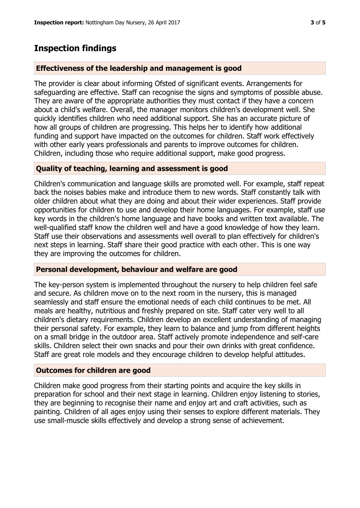## **Inspection findings**

#### **Effectiveness of the leadership and management is good**

The provider is clear about informing Ofsted of significant events. Arrangements for safeguarding are effective. Staff can recognise the signs and symptoms of possible abuse. They are aware of the appropriate authorities they must contact if they have a concern about a child's welfare. Overall, the manager monitors children's development well. She quickly identifies children who need additional support. She has an accurate picture of how all groups of children are progressing. This helps her to identify how additional funding and support have impacted on the outcomes for children. Staff work effectively with other early years professionals and parents to improve outcomes for children. Children, including those who require additional support, make good progress.

#### **Quality of teaching, learning and assessment is good**

Children's communication and language skills are promoted well. For example, staff repeat back the noises babies make and introduce them to new words. Staff constantly talk with older children about what they are doing and about their wider experiences. Staff provide opportunities for children to use and develop their home languages. For example, staff use key words in the children's home language and have books and written text available. The well-qualified staff know the children well and have a good knowledge of how they learn. Staff use their observations and assessments well overall to plan effectively for children's next steps in learning. Staff share their good practice with each other. This is one way they are improving the outcomes for children.

#### **Personal development, behaviour and welfare are good**

The key-person system is implemented throughout the nursery to help children feel safe and secure. As children move on to the next room in the nursery, this is managed seamlessly and staff ensure the emotional needs of each child continues to be met. All meals are healthy, nutritious and freshly prepared on site. Staff cater very well to all children's dietary requirements. Children develop an excellent understanding of managing their personal safety. For example, they learn to balance and jump from different heights on a small bridge in the outdoor area. Staff actively promote independence and self-care skills. Children select their own snacks and pour their own drinks with great confidence. Staff are great role models and they encourage children to develop helpful attitudes.

#### **Outcomes for children are good**

Children make good progress from their starting points and acquire the key skills in preparation for school and their next stage in learning. Children enjoy listening to stories, they are beginning to recognise their name and enjoy art and craft activities, such as painting. Children of all ages enjoy using their senses to explore different materials. They use small-muscle skills effectively and develop a strong sense of achievement.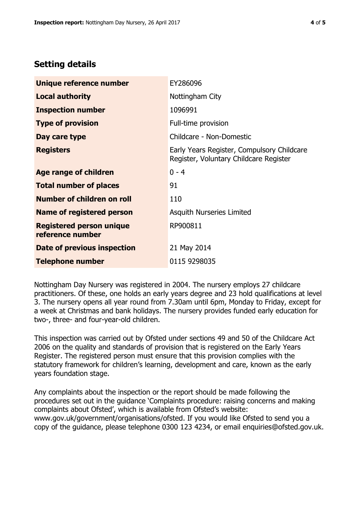# **Setting details**

| Unique reference number                             | EY286096                                                                             |
|-----------------------------------------------------|--------------------------------------------------------------------------------------|
| <b>Local authority</b>                              | Nottingham City                                                                      |
| <b>Inspection number</b>                            | 1096991                                                                              |
| <b>Type of provision</b>                            | Full-time provision                                                                  |
| Day care type                                       | Childcare - Non-Domestic                                                             |
| <b>Registers</b>                                    | Early Years Register, Compulsory Childcare<br>Register, Voluntary Childcare Register |
| Age range of children                               | $0 - 4$                                                                              |
| <b>Total number of places</b>                       | 91                                                                                   |
| Number of children on roll                          | 110                                                                                  |
| Name of registered person                           | Asquith Nurseries Limited                                                            |
| <b>Registered person unique</b><br>reference number | RP900811                                                                             |
| Date of previous inspection                         | 21 May 2014                                                                          |
| <b>Telephone number</b>                             | 0115 9298035                                                                         |

Nottingham Day Nursery was registered in 2004. The nursery employs 27 childcare practitioners. Of these, one holds an early years degree and 23 hold qualifications at level 3. The nursery opens all year round from 7.30am until 6pm, Monday to Friday, except for a week at Christmas and bank holidays. The nursery provides funded early education for two-, three- and four-year-old children.

This inspection was carried out by Ofsted under sections 49 and 50 of the Childcare Act 2006 on the quality and standards of provision that is registered on the Early Years Register. The registered person must ensure that this provision complies with the statutory framework for children's learning, development and care, known as the early years foundation stage.

Any complaints about the inspection or the report should be made following the procedures set out in the guidance 'Complaints procedure: raising concerns and making complaints about Ofsted', which is available from Ofsted's website: www.gov.uk/government/organisations/ofsted. If you would like Ofsted to send you a copy of the guidance, please telephone 0300 123 4234, or email enquiries@ofsted.gov.uk.